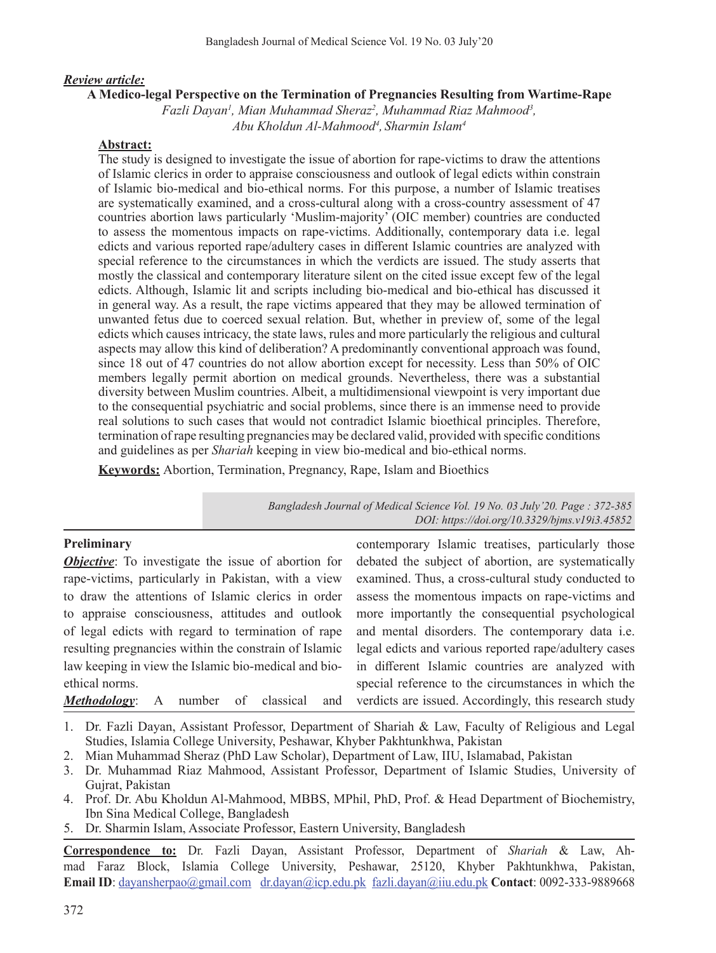#### *Review article:*

#### **A Medico-legal Perspective on the Termination of Pregnancies Resulting from Wartime-Rape**

Fazli Dayan<sup>1</sup>, Mian Muhammad Sheraz<sup>2</sup>, Muhammad Riaz Mahmood<sup>3</sup>, *Abu Kholdun Al-Mahmood4 , Sharmin Islam4*

#### **Abstract:**

The study is designed to investigate the issue of abortion for rape-victims to draw the attentions of Islamic clerics in order to appraise consciousness and outlook of legal edicts within constrain of Islamic bio-medical and bio-ethical norms. For this purpose, a number of Islamic treatises are systematically examined, and a cross-cultural along with a cross-country assessment of 47 countries abortion laws particularly 'Muslim-majority' (OIC member) countries are conducted to assess the momentous impacts on rape-victims. Additionally, contemporary data i.e. legal edicts and various reported rape/adultery cases in different Islamic countries are analyzed with special reference to the circumstances in which the verdicts are issued. The study asserts that mostly the classical and contemporary literature silent on the cited issue except few of the legal edicts. Although, Islamic lit and scripts including bio-medical and bio-ethical has discussed it in general way. As a result, the rape victims appeared that they may be allowed termination of unwanted fetus due to coerced sexual relation. But, whether in preview of, some of the legal edicts which causes intricacy, the state laws, rules and more particularly the religious and cultural aspects may allow this kind of deliberation? A predominantly conventional approach was found, since 18 out of 47 countries do not allow abortion except for necessity. Less than 50% of OIC members legally permit abortion on medical grounds. Nevertheless, there was a substantial diversity between Muslim countries. Albeit, a multidimensional viewpoint is very important due to the consequential psychiatric and social problems, since there is an immense need to provide real solutions to such cases that would not contradict Islamic bioethical principles. Therefore, termination of rape resulting pregnancies may be declared valid, provided with specific conditions and guidelines as per *Shariah* keeping in view bio-medical and bio-ethical norms.

**Keywords:** Abortion, Termination, Pregnancy, Rape, Islam and Bioethics

*Bangladesh Journal of Medical Science Vol. 19 No. 03 July'20. Page : 372-385 DOI: https://doi.org/10.3329/bjms.v19i3.45852*

| contemporary Islamic treatises, particularly those        |
|-----------------------------------------------------------|
| debated the subject of abortion, are systematically       |
| examined. Thus, a cross-cultural study conducted to       |
| assess the momentous impacts on rape-victims and          |
| more importantly the consequential psychological          |
| and mental disorders. The contemporary data <i>i.e.</i>   |
| legal edicts and various reported rape/adultery cases     |
| in different Islamic countries are analyzed with          |
| special reference to the circumstances in which the       |
| and verdicts are issued. Accordingly, this research study |
|                                                           |

1. Dr. Fazli Dayan, Assistant Professor, Department of Shariah & Law, Faculty of Religious and Legal Studies, Islamia College University, Peshawar, Khyber Pakhtunkhwa, Pakistan

2. Mian Muhammad Sheraz (PhD Law Scholar), Department of Law, IIU, Islamabad, Pakistan

- 3. Dr. Muhammad Riaz Mahmood, Assistant Professor, Department of Islamic Studies, University of Gujrat, Pakistan
- 4. Prof. Dr. Abu Kholdun Al-Mahmood, MBBS, MPhil, PhD, Prof. & Head Department of Biochemistry, Ibn Sina Medical College, Bangladesh
- 5. Dr. Sharmin Islam, Associate Professor, Eastern University, Bangladesh

**Correspondence to:** Dr. Fazli Dayan, Assistant Professor, Department of *Shariah* & Law, Ahmad Faraz Block, Islamia College University, Peshawar, 25120, Khyber Pakhtunkhwa, Pakistan, **Email ID**: dayansherpao@gmail.com dr.dayan@icp.edu.pk fazli.dayan@iiu.edu.pk **Contact**: 0092-333-9889668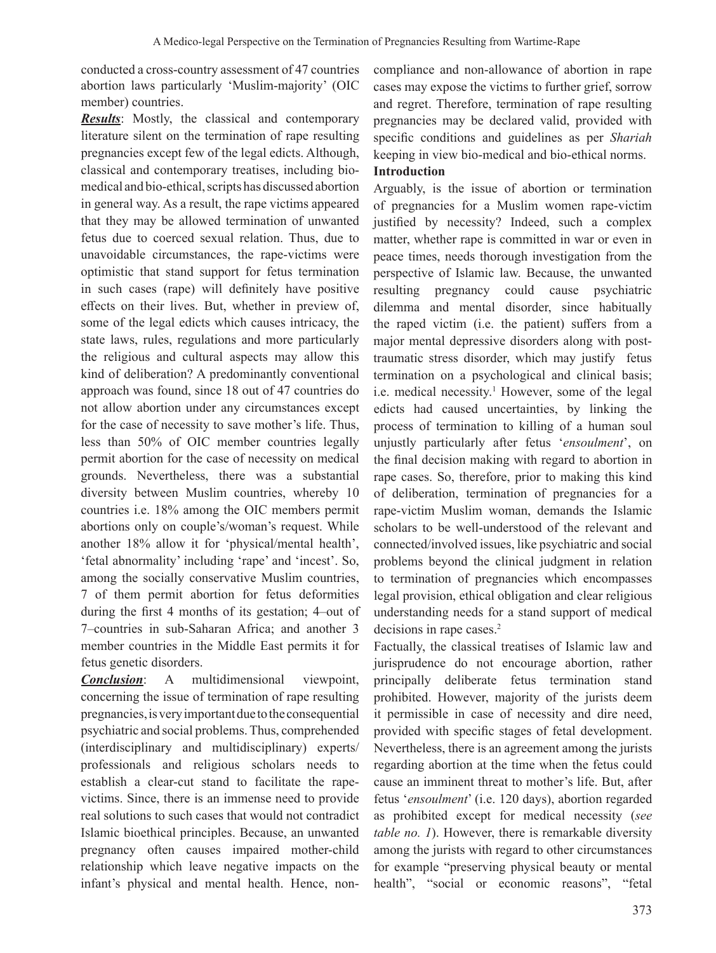conducted a cross-country assessment of 47 countries abortion laws particularly 'Muslim-majority' (OIC member) countries.

**Results**: Mostly, the classical and contemporary literature silent on the termination of rape resulting pregnancies except few of the legal edicts. Although, classical and contemporary treatises, including biomedical and bio-ethical, scripts has discussed abortion in general way. As a result, the rape victims appeared that they may be allowed termination of unwanted fetus due to coerced sexual relation. Thus, due to unavoidable circumstances, the rape-victims were optimistic that stand support for fetus termination in such cases (rape) will definitely have positive effects on their lives. But, whether in preview of, some of the legal edicts which causes intricacy, the state laws, rules, regulations and more particularly the religious and cultural aspects may allow this kind of deliberation? A predominantly conventional approach was found, since 18 out of 47 countries do not allow abortion under any circumstances except for the case of necessity to save mother's life. Thus, less than 50% of OIC member countries legally permit abortion for the case of necessity on medical grounds. Nevertheless, there was a substantial diversity between Muslim countries, whereby 10 countries i.e. 18% among the OIC members permit abortions only on couple's/woman's request. While another 18% allow it for 'physical/mental health', 'fetal abnormality' including 'rape' and 'incest'. So, among the socially conservative Muslim countries, 7 of them permit abortion for fetus deformities during the first 4 months of its gestation; 4–out of 7–countries in sub-Saharan Africa; and another 3 member countries in the Middle East permits it for fetus genetic disorders.

*Conclusion*: A multidimensional viewpoint, concerning the issue of termination of rape resulting pregnancies, is very important due to the consequential psychiatric and social problems.Thus, comprehended (interdisciplinary and multidisciplinary) experts/ professionals and religious scholars needs to establish a clear-cut stand to facilitate the rapevictims. Since, there is an immense need to provide real solutions to such cases that would not contradict Islamic bioethical principles. Because, an unwanted pregnancy often causes impaired mother-child relationship which leave negative impacts on the infant's physical and mental health. Hence, noncompliance and non-allowance of abortion in rape cases may expose the victims to further grief, sorrow and regret. Therefore, termination of rape resulting pregnancies may be declared valid, provided with specific conditions and guidelines as per *Shariah* keeping in view bio-medical and bio-ethical norms.

# **Introduction**

Arguably, is the issue of abortion or termination of pregnancies for a Muslim women rape-victim justified by necessity? Indeed, such a complex matter, whether rape is committed in war or even in peace times, needs thorough investigation from the perspective of Islamic law. Because, the unwanted resulting pregnancy could cause psychiatric dilemma and mental disorder, since habitually the raped victim (i.e. the patient) suffers from a major mental depressive disorders along with posttraumatic stress disorder, which may justify fetus termination on a psychological and clinical basis; i.e. medical necessity.<sup>1</sup> However, some of the legal edicts had caused uncertainties, by linking the process of termination to killing of a human soul unjustly particularly after fetus '*ensoulment*', on the final decision making with regard to abortion in rape cases. So, therefore, prior to making this kind of deliberation, termination of pregnancies for a rape-victim Muslim woman, demands the Islamic scholars to be well-understood of the relevant and connected/involved issues, like psychiatric and social problems beyond the clinical judgment in relation to termination of pregnancies which encompasses legal provision, ethical obligation and clear religious understanding needs for a stand support of medical decisions in rape cases.<sup>2</sup>

Factually, the classical treatises of Islamic law and jurisprudence do not encourage abortion, rather principally deliberate fetus termination stand prohibited. However, majority of the jurists deem it permissible in case of necessity and dire need, provided with specific stages of fetal development. Nevertheless, there is an agreement among the jurists regarding abortion at the time when the fetus could cause an imminent threat to mother's life. But, after fetus '*ensoulment*' (i.e. 120 days), abortion regarded as prohibited except for medical necessity (*see table no. 1*). However, there is remarkable diversity among the jurists with regard to other circumstances for example "preserving physical beauty or mental health", "social or economic reasons", "fetal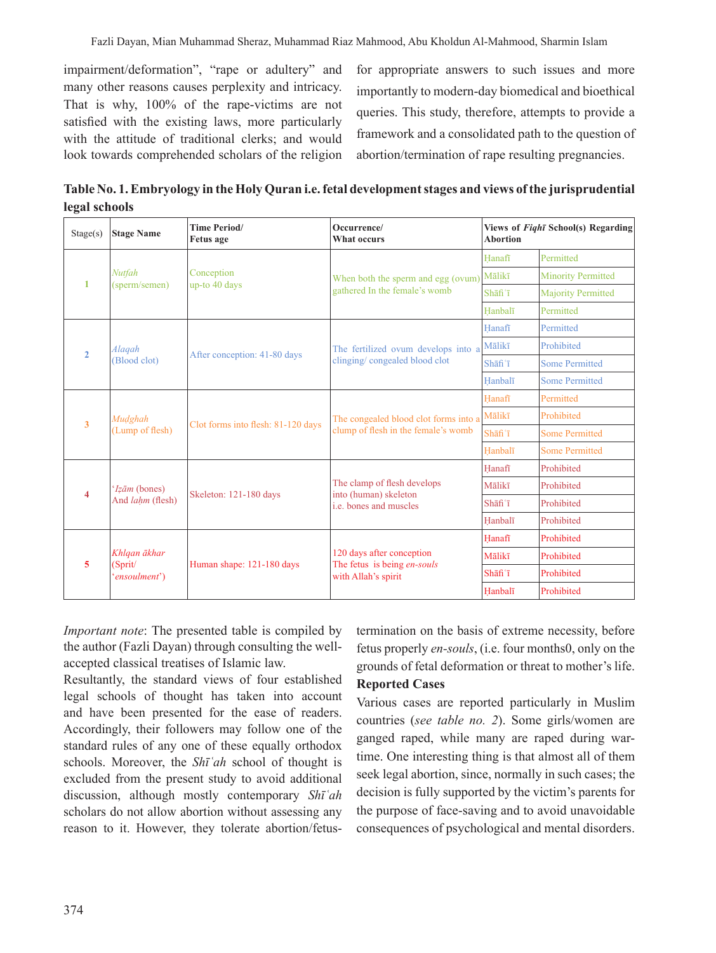impairment/deformation", "rape or adultery" and many other reasons causes perplexity and intricacy. That is why, 100% of the rape-victims are not satisfied with the existing laws, more particularly with the attitude of traditional clerks; and would look towards comprehended scholars of the religion

for appropriate answers to such issues and more importantly to modern-day biomedical and bioethical queries. This study, therefore, attempts to provide a framework and a consolidated path to the question of abortion/termination of rape resulting pregnancies.

**Table No. 1. Embryology in the Holy Quran i.e. fetal development stages and views of the jurisprudential legal schools**

| Stage(s)         | <b>Stage Name</b>                        | <b>Time Period/</b><br><b>Fetus</b> age | Occurrence/<br>What occurs                                                            | <b>Abortion</b> | Views of Fight School(s) Regarding |
|------------------|------------------------------------------|-----------------------------------------|---------------------------------------------------------------------------------------|-----------------|------------------------------------|
|                  | Nutfah<br>(sperm/semen)                  | Conception<br>up-to 40 days             | When both the sperm and egg (ovum)<br>gathered In the female's womb                   | Hanafī          | Permitted                          |
| -1               |                                          |                                         |                                                                                       | Mālikī          | <b>Minority Permitted</b>          |
|                  |                                          |                                         |                                                                                       | Shafi'i         | <b>Majority Permitted</b>          |
|                  |                                          |                                         |                                                                                       | Hanbalī         | Permitted                          |
|                  |                                          |                                         |                                                                                       | Hanafī          | Permitted                          |
| $\overline{2}$   | Alaqah                                   |                                         | The fertilized ovum develops into a                                                   | Mālikī          | Prohibited                         |
|                  | (Blood clot)                             | After conception: 41-80 days            | clinging/congealed blood clot                                                         | Shafi'i         | <b>Some Permitted</b>              |
|                  |                                          |                                         |                                                                                       | Hanbalī         | <b>Some Permitted</b>              |
|                  |                                          | Clot forms into flesh: 81-120 days      |                                                                                       | Hanafi          | Permitted                          |
|                  | Mudghah<br>(Lump of flesh)               |                                         | The congealed blood clot forms into a<br>clump of flesh in the female's womb          | Mālikī          | Prohibited                         |
| $\overline{3}$   |                                          |                                         |                                                                                       | Shafi'i         | <b>Some Permitted</b>              |
|                  |                                          |                                         |                                                                                       | Hanbalī         | <b>Some Permitted</b>              |
|                  | 'Izām (bones)<br>And <i>lahm</i> (flesh) | Skeleton: 121-180 days                  |                                                                                       | Hanafi          | Prohibited                         |
| $\boldsymbol{4}$ |                                          |                                         | The clamp of flesh develops<br>into (human) skeleton<br><i>i.e.</i> bones and muscles | Mālikī          | Prohibited                         |
|                  |                                          |                                         |                                                                                       | Shafi'i         | Prohibited                         |
|                  |                                          |                                         |                                                                                       | Hanbalī         | Prohibited                         |
|                  | Khlqan ākhar<br>(Sprit/<br>'ensoulment') | Human shape: 121-180 days               |                                                                                       | Hanafī          | Prohibited                         |
| 5                |                                          |                                         | 120 days after conception<br>The fetus is being en-souls<br>with Allah's spirit       | Mālikī          | Prohibited                         |
|                  |                                          |                                         |                                                                                       | Shāfi'ī         | Prohibited                         |
|                  |                                          |                                         |                                                                                       | Hanbalī         | Prohibited                         |

*Important note*: The presented table is compiled by the author (Fazli Dayan) through consulting the wellaccepted classical treatises of Islamic law.

Resultantly, the standard views of four established legal schools of thought has taken into account and have been presented for the ease of readers. Accordingly, their followers may follow one of the standard rules of any one of these equally orthodox schools. Moreover, the *Shīʿah* school of thought is excluded from the present study to avoid additional discussion, although mostly contemporary *Shīʿah* scholars do not allow abortion without assessing any reason to it. However, they tolerate abortion/fetustermination on the basis of extreme necessity, before fetus properly *en-souls*, (i.e. four months0, only on the grounds of fetal deformation or threat to mother's life.

# **Reported Cases**

Various cases are reported particularly in Muslim countries (*see table no. 2*). Some girls/women are ganged raped, while many are raped during wartime. One interesting thing is that almost all of them seek legal abortion, since, normally in such cases; the decision is fully supported by the victim's parents for the purpose of face-saving and to avoid unavoidable consequences of psychological and mental disorders.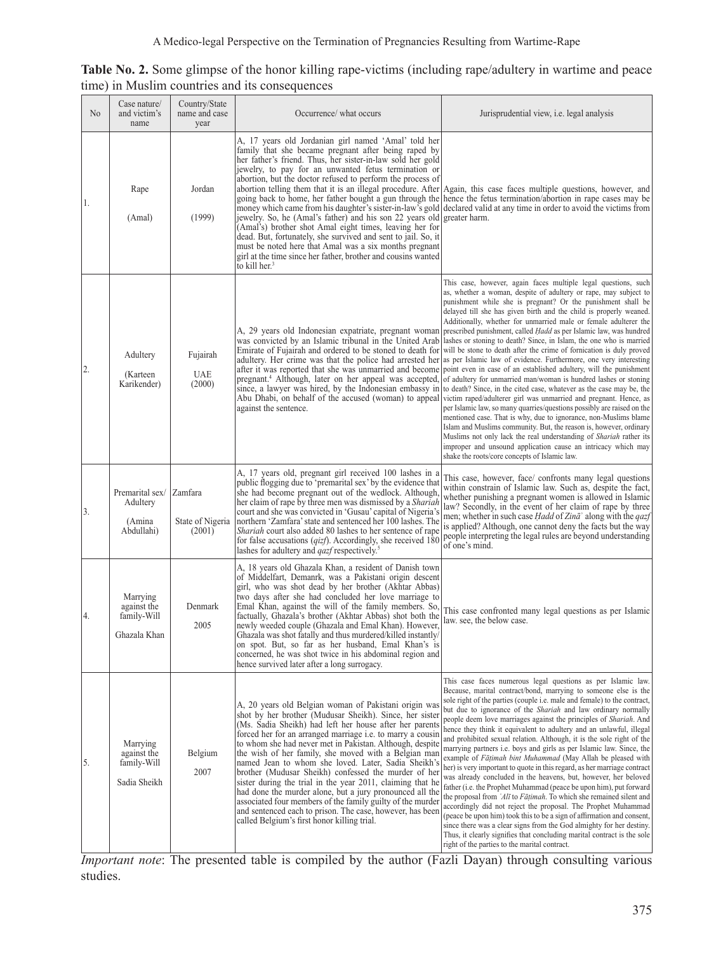| Table No. 2. Some glimpse of the honor killing rape-victims (including rape/adultery in wartime and peace |  |  |
|-----------------------------------------------------------------------------------------------------------|--|--|
| time) in Muslim countries and its consequences                                                            |  |  |

| N <sub>0</sub> | Case nature/<br>and victim's<br>name                   | Country/State<br>name and case<br>year | Occurrence/ what occurs                                                                                                                                                                                                                                                                                                                                                                                                                                                                                                                                                                                                                                                                                                                                                          | Jurisprudential view, <i>i.e.</i> legal analysis                                                                                                                                                                                                                                                                                                                                                                                                                                                                                                                                                                                                                                                                                                                                                                                                                                                                                                                                                                                                                                                                                                                                                                                                                                                                                                 |
|----------------|--------------------------------------------------------|----------------------------------------|----------------------------------------------------------------------------------------------------------------------------------------------------------------------------------------------------------------------------------------------------------------------------------------------------------------------------------------------------------------------------------------------------------------------------------------------------------------------------------------------------------------------------------------------------------------------------------------------------------------------------------------------------------------------------------------------------------------------------------------------------------------------------------|--------------------------------------------------------------------------------------------------------------------------------------------------------------------------------------------------------------------------------------------------------------------------------------------------------------------------------------------------------------------------------------------------------------------------------------------------------------------------------------------------------------------------------------------------------------------------------------------------------------------------------------------------------------------------------------------------------------------------------------------------------------------------------------------------------------------------------------------------------------------------------------------------------------------------------------------------------------------------------------------------------------------------------------------------------------------------------------------------------------------------------------------------------------------------------------------------------------------------------------------------------------------------------------------------------------------------------------------------|
| 1.             | Rape<br>(Amal)                                         | Jordan<br>(1999)                       | A, 17 years old Jordanian girl named 'Amal' told her<br>family that she became pregnant after being raped by<br>her father's friend. Thus, her sister-in-law sold her gold<br>jewelry, to pay for an unwanted fetus termination or<br>abortion, but the doctor refused to perform the process of<br>jewelry. So, he (Amal's father) and his son 22 years old greater harm.<br>(Amal's) brother shot Amal eight times, leaving her for<br>dead. But, fortunately, she survived and sent to jail. So, it<br>must be noted here that Amal was a six months pregnant<br>girl at the time since her father, brother and cousins wanted<br>to kill her. <sup>3</sup>                                                                                                                   | abortion telling them that it is an illegal procedure. After Again, this case faces multiple questions, however, and<br>going back to home, her father bought a gun through the hence the fetus termination/abortion in rape cases may be<br>money which came from his daughter's sister-in-law's gold declared valid at any time in order to avoid the victims from                                                                                                                                                                                                                                                                                                                                                                                                                                                                                                                                                                                                                                                                                                                                                                                                                                                                                                                                                                             |
| 2.             | Adultery<br>(Karteen<br>Karikender)                    | Fujairah<br><b>UAE</b><br>(2000)       | A, 29 years old Indonesian expatriate, pregnant woman<br>was convicted by an Islamic tribunal in the United Arab<br>Emirate of Fujairah and ordered to be stoned to death for<br>adultery. Her crime was that the police had arrested her<br>after it was reported that she was unmarried and become<br>pregnant. <sup>4</sup> Although, later on her appeal was accepted,<br>since, a lawyer was hired, by the Indonesian embassy in<br>Abu Dhabi, on behalf of the accused (woman) to appeal<br>against the sentence.                                                                                                                                                                                                                                                          | This case, however, again faces multiple legal questions, such<br>as, whether a woman, despite of adultery or rape, may subject to<br>punishment while she is pregnant? Or the punishment shall be<br>delayed till she has given birth and the child is properly weaned.<br>Additionally, whether for unmarried male or female adulterer the<br>prescribed punishment, called <i>Hadd</i> as per Islamic law, was hundred<br>lashes or stoning to death? Since, in Islam, the one who is married<br>will be stone to death after the crime of fornication is duly proved<br>as per Islamic law of evidence. Furthermore, one very interesting<br>point even in case of an established adultery, will the punishment<br>of adultery for unmarried man/woman is hundred lashes or stoning<br>to death? Since, in the cited case, whatever as the case may be, the<br>victim raped/adulterer girl was unmarried and pregnant. Hence, as<br>per Islamic law, so many quarries/questions possibly are raised on the<br>mentioned case. That is why, due to ignorance, non-Muslims blame<br>Islam and Muslims community. But, the reason is, however, ordinary<br>Muslims not only lack the real understanding of Shariah rather its<br>improper and unsound application cause an intricacy which may<br>shake the roots/core concepts of Islamic law. |
| 3.             | Premarital sex/<br>Adultery<br>(Amina<br>Abdullahi)    | Zamfara<br>State of Nigeria<br>(2001)  | A, 17 years old, pregnant girl received 100 lashes in a<br>public flogging due to 'premarital sex' by the evidence that<br>she had become pregnant out of the wedlock. Although,<br>her claim of rape by three men was dismissed by a <i>Shariah</i><br>court and she was convicted in 'Gusau' capital of Nigeria's<br>northern 'Zamfara' state and sentenced her 100 lashes. The<br><i>Shariah</i> court also added 80 lashes to her sentence of rape<br>for false accusations ( <i>qizf</i> ). Accordingly, she received 180<br>lashes for adultery and <i>qazf</i> respectively. <sup>5</sup>                                                                                                                                                                                 | This case, however, face/ confronts many legal questions<br>within constrain of Islamic law. Such as, despite the fact,<br>whether punishing a pregnant women is allowed in Islamic<br>law? Secondly, in the event of her claim of rape by three<br>men; whether in such case <i>Hadd</i> of Zina <sup>3</sup> along with the <i>qazf</i><br>is applied? Although, one cannot deny the facts but the way<br>people interpreting the legal rules are beyond understanding<br>of one's mind.                                                                                                                                                                                                                                                                                                                                                                                                                                                                                                                                                                                                                                                                                                                                                                                                                                                       |
| 4.             | Marrying<br>against the<br>family-Will<br>Ghazala Khan | Denmark<br>2005                        | A, 18 years old Ghazala Khan, a resident of Danish town<br>of Middelfart, Demanrk, was a Pakistani origin descent<br>girl, who was shot dead by her brother (Akhtar Abbas)<br>two days after she had concluded her love marriage to<br>Emal Khan, against the will of the family members. So,<br>factually, Ghazala's brother (Akhtar Abbas) shot both the<br>newly weeded couple (Ghazala and Emal Khan). However,<br>Ghazala was shot fatally and thus murdered/killed instantly/<br>on spot. But, so far as her husband, Emal Khan's is<br>concerned, he was shot twice in his abdominal region and<br>hence survived later after a long surrogacy.                                                                                                                           | This case confronted many legal questions as per Islamic<br>law. see, the below case.                                                                                                                                                                                                                                                                                                                                                                                                                                                                                                                                                                                                                                                                                                                                                                                                                                                                                                                                                                                                                                                                                                                                                                                                                                                            |
| 5.             | Marrying<br>against the<br>family-Will<br>Sadia Sheikh | Belgium<br>2007                        | A, 20 years old Belgian woman of Pakistani origin was<br>shot by her brother (Mudusar Sheikh). Since, her sister<br>(Ms. Sadia Sheikh) had left her house after her parents<br>forced her for an arranged marriage i.e. to marry a cousin<br>to whom she had never met in Pakistan. Although, despite<br>the wish of her family, she moved with a Belgian man<br>named Jean to whom she loved. Later, Sadia Sheikh's<br>brother (Mudusar Sheikh) confessed the murder of her<br>sister during the trial in the year 2011, claiming that he<br>had done the murder alone, but a jury pronounced all the<br>associated four members of the family guilty of the murder<br>and sentenced each to prison. The case, however, has been<br>called Belgium's first honor killing trial. | This case faces numerous legal questions as per Islamic law.<br>Because, marital contract/bond, marrying to someone else is the<br>sole right of the parties (couple i.e. male and female) to the contract,<br>but due to ignorance of the <i>Shariah</i> and law ordinary normally<br>people deem love marriages against the principles of Shariah. And<br>hence they think it equivalent to adultery and an unlawful, illegal<br>and prohibited sexual relation. Although, it is the sole right of the<br>marrying partners i.e. boys and girls as per Islamic law. Since, the<br>example of Fāțimah bint Muhammad (May Allah be pleased with<br>her) is very important to quote in this regard, as her marriage contract<br>was already concluded in the heavens, but, however, her beloved<br>father (i.e. the Prophet Muhammad (peace be upon him), put forward<br>the proposal from 'Alī to Fāṭimah. To which she remained silent and<br>accordingly did not reject the proposal. The Prophet Muhammad<br>(peace be upon him) took this to be a sign of affirmation and consent,<br>since there was a clear signs from the God almighty for her destiny.<br>Thus, it clearly signifies that concluding marital contract is the sole<br>right of the parties to the marital contract.                                                       |

*Important note*: The presented table is compiled by the author (Fazli Dayan) through consulting various studies.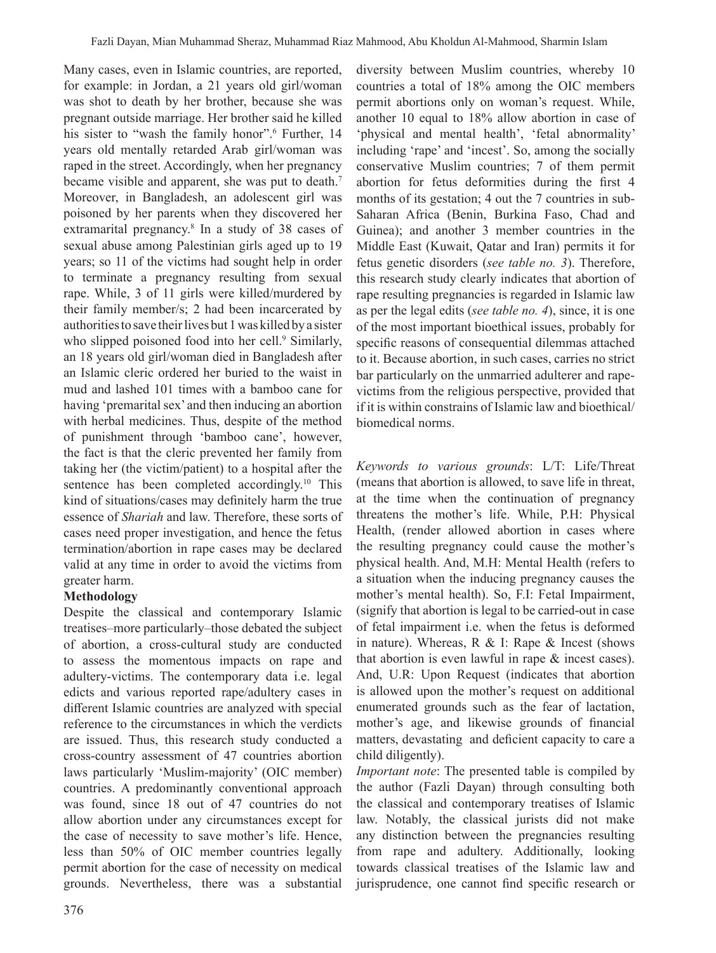Many cases, even in Islamic countries, are reported, for example: in Jordan, a 21 years old girl/woman was shot to death by her brother, because she was pregnant outside marriage. Her brother said he killed his sister to "wash the family honor".<sup>6</sup> Further, 14 years old mentally retarded Arab girl/woman was raped in the street. Accordingly, when her pregnancy became visible and apparent, she was put to death.<sup>7</sup> Moreover, in Bangladesh, an adolescent girl was poisoned by her parents when they discovered her extramarital pregnancy.8 In a study of 38 cases of sexual abuse among Palestinian girls aged up to 19 years; so 11 of the victims had sought help in order to terminate a pregnancy resulting from sexual rape. While, 3 of 11 girls were killed/murdered by their family member/s; 2 had been incarcerated by authorities to save their lives but 1 was killed by a sister who slipped poisoned food into her cell.<sup>9</sup> Similarly, an 18 years old girl/woman died in Bangladesh after an Islamic cleric ordered her buried to the waist in mud and lashed 101 times with a bamboo cane for having 'premarital sex' and then inducing an abortion with herbal medicines. Thus, despite of the method of punishment through 'bamboo cane', however, the fact is that the cleric prevented her family from taking her (the victim/patient) to a hospital after the sentence has been completed accordingly.<sup>10</sup> This kind of situations/cases may definitely harm the true essence of *Shariah* and law. Therefore, these sorts of cases need proper investigation, and hence the fetus termination/abortion in rape cases may be declared valid at any time in order to avoid the victims from greater harm.

# **Methodology**

Despite the classical and contemporary Islamic treatises–more particularly–those debated the subject of abortion, a cross-cultural study are conducted to assess the momentous impacts on rape and adultery-victims. The contemporary data i.e. legal edicts and various reported rape/adultery cases in different Islamic countries are analyzed with special reference to the circumstances in which the verdicts are issued. Thus, this research study conducted a cross-country assessment of 47 countries abortion laws particularly 'Muslim-majority' (OIC member) countries. A predominantly conventional approach was found, since 18 out of 47 countries do not allow abortion under any circumstances except for the case of necessity to save mother's life. Hence, less than 50% of OIC member countries legally permit abortion for the case of necessity on medical grounds. Nevertheless, there was a substantial

diversity between Muslim countries, whereby 10 countries a total of 18% among the OIC members permit abortions only on woman's request. While, another 10 equal to 18% allow abortion in case of 'physical and mental health', 'fetal abnormality' including 'rape' and 'incest'. So, among the socially conservative Muslim countries; 7 of them permit abortion for fetus deformities during the first 4 months of its gestation; 4 out the 7 countries in sub-Saharan Africa (Benin, Burkina Faso, Chad and Guinea); and another 3 member countries in the Middle East (Kuwait, Qatar and Iran) permits it for fetus genetic disorders (*see table no. 3*). Therefore, this research study clearly indicates that abortion of rape resulting pregnancies is regarded in Islamic law as per the legal edits (*see table no. 4*), since, it is one of the most important bioethical issues, probably for specific reasons of consequential dilemmas attached to it. Because abortion, in such cases, carries no strict bar particularly on the unmarried adulterer and rapevictims from the religious perspective, provided that if it is within constrains of Islamic law and bioethical/ biomedical norms.

*Keywords to various grounds*: L/T: Life/Threat (means that abortion is allowed, to save life in threat, at the time when the continuation of pregnancy threatens the mother's life. While, P.H: Physical Health, (render allowed abortion in cases where the resulting pregnancy could cause the mother's physical health. And, M.H: Mental Health (refers to a situation when the inducing pregnancy causes the mother's mental health). So, F.I: Fetal Impairment, (signify that abortion is legal to be carried-out in case of fetal impairment i.e. when the fetus is deformed in nature). Whereas, R & I: Rape & Incest (shows that abortion is even lawful in rape & incest cases). And, U.R: Upon Request (indicates that abortion is allowed upon the mother's request on additional enumerated grounds such as the fear of lactation, mother's age, and likewise grounds of financial matters, devastating and deficient capacity to care a child diligently).

*Important note*: The presented table is compiled by the author (Fazli Dayan) through consulting both the classical and contemporary treatises of Islamic law. Notably, the classical jurists did not make any distinction between the pregnancies resulting from rape and adultery. Additionally, looking towards classical treatises of the Islamic law and jurisprudence, one cannot find specific research or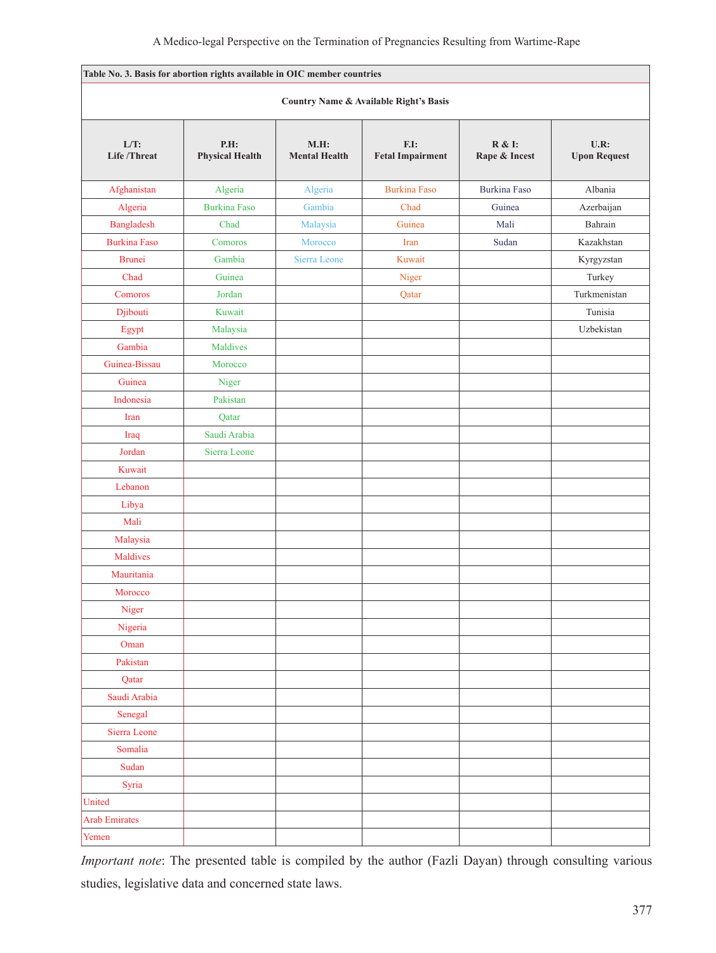|                               | Table No. 3. Basis for abortion rights available in OIC member countries |                              |                                                   |                         |                             |
|-------------------------------|--------------------------------------------------------------------------|------------------------------|---------------------------------------------------|-------------------------|-----------------------------|
|                               |                                                                          |                              | <b>Country Name &amp; Available Right's Basis</b> |                         |                             |
| $L/T$ :<br><b>Life/Threat</b> | P.H:<br><b>Physical Health</b>                                           | M.H.<br><b>Mental Health</b> | F.I:<br><b>Fetal Impairment</b>                   | R & I:<br>Rape & Incest | U.R:<br><b>Upon Request</b> |
| Afghanistan                   | Algeria                                                                  | Algeria                      | <b>Burkina Faso</b>                               | <b>Burkina Faso</b>     | Albania                     |
| Algeria                       | <b>Burkina Faso</b>                                                      | Gambia                       | Chad                                              | Guinea                  | Azerbaijan                  |
| Bangladesh                    | Chad                                                                     | Malaysia                     | Guinea                                            | Mali                    | Bahrain                     |
| <b>Burkina Faso</b>           | Comoros                                                                  | Morocco                      | Iran                                              | Sudan                   | Kazakhstan                  |
| <b>Brunei</b>                 | Gambia                                                                   | Sierra Leone                 | Kuwait                                            |                         | Kyrgyzstan                  |
| Chad                          | Guinea                                                                   |                              | Niger                                             |                         | Turkey                      |
| Comoros                       | Jordan                                                                   |                              | Qatar                                             |                         | Turkmenistan                |
| Djibouti                      | Kuwait                                                                   |                              |                                                   |                         | Tunisia                     |
| Egypt                         | Malaysia                                                                 |                              |                                                   |                         | Uzbekistan                  |
| Gambia                        | Maldives                                                                 |                              |                                                   |                         |                             |
| Guinea-Bissau                 | Morocco                                                                  |                              |                                                   |                         |                             |
| Guinea                        | Niger                                                                    |                              |                                                   |                         |                             |
| Indonesia                     | Pakistan                                                                 |                              |                                                   |                         |                             |
| Iran                          | Qatar                                                                    |                              |                                                   |                         |                             |
| Iraq                          | Saudi Arabia                                                             |                              |                                                   |                         |                             |
| Jordan                        | Sierra Leone                                                             |                              |                                                   |                         |                             |
| Kuwait                        |                                                                          |                              |                                                   |                         |                             |
| Lebanon                       |                                                                          |                              |                                                   |                         |                             |
| Libya                         |                                                                          |                              |                                                   |                         |                             |
| Mali                          |                                                                          |                              |                                                   |                         |                             |
| Malaysia                      |                                                                          |                              |                                                   |                         |                             |
| Maldives                      |                                                                          |                              |                                                   |                         |                             |
| Mauritania                    |                                                                          |                              |                                                   |                         |                             |
| Morocco                       |                                                                          |                              |                                                   |                         |                             |
| Niger                         |                                                                          |                              |                                                   |                         |                             |
| Nigeria                       |                                                                          |                              |                                                   |                         |                             |
| Oman                          |                                                                          |                              |                                                   |                         |                             |
| Pakistan                      |                                                                          |                              |                                                   |                         |                             |
| Qatar                         |                                                                          |                              |                                                   |                         |                             |
| Saudi Arabia                  |                                                                          |                              |                                                   |                         |                             |
| Senegal                       |                                                                          |                              |                                                   |                         |                             |
| Sierra Leone                  |                                                                          |                              |                                                   |                         |                             |
| Somalia                       |                                                                          |                              |                                                   |                         |                             |
| Sudan                         |                                                                          |                              |                                                   |                         |                             |
| Syria                         |                                                                          |                              |                                                   |                         |                             |
| United                        |                                                                          |                              |                                                   |                         |                             |
| <b>Arab Emirates</b>          |                                                                          |                              |                                                   |                         |                             |
| Yemen                         |                                                                          |                              |                                                   |                         |                             |

*Important note*: The presented table is compiled by the author (Fazli Dayan) through consulting various studies, legislative data and concerned state laws.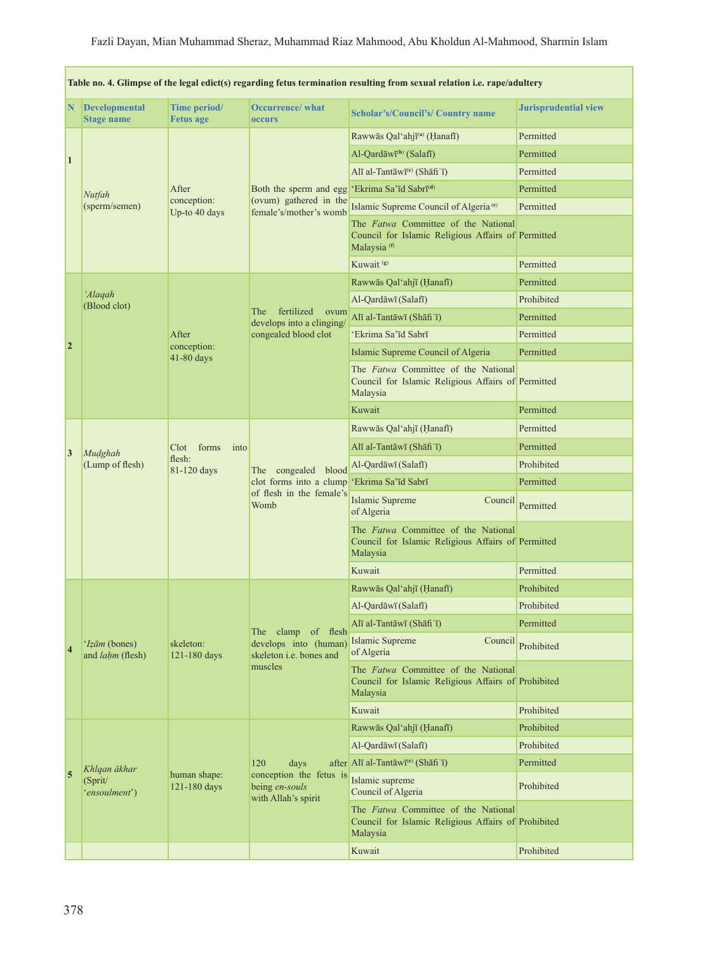| Table no. 4. Glimpse of the legal edict(s) regarding fetus termination resulting from sexual relation i.e. rape/adultery |                                           |                                                  |                                                                                                                                                                                                                           |                                                                                                                      |                             |  |
|--------------------------------------------------------------------------------------------------------------------------|-------------------------------------------|--------------------------------------------------|---------------------------------------------------------------------------------------------------------------------------------------------------------------------------------------------------------------------------|----------------------------------------------------------------------------------------------------------------------|-----------------------------|--|
| N                                                                                                                        | <b>Developmental</b><br><b>Stage name</b> | Time period/<br><b>Fetus age</b>                 | <b>Occurrence/ what</b><br>occurs                                                                                                                                                                                         | <b>Scholar's/Council's/ Country name</b>                                                                             | <b>Jurisprudential view</b> |  |
| 1                                                                                                                        |                                           |                                                  |                                                                                                                                                                                                                           | Rawwās Qal'ahjī <sup>(a)</sup> (Hanafī)                                                                              | Permitted                   |  |
|                                                                                                                          |                                           |                                                  |                                                                                                                                                                                                                           | $Al$ -Qardāwī <sup>(b)</sup> (Salafī)                                                                                | Permitted                   |  |
|                                                                                                                          |                                           |                                                  |                                                                                                                                                                                                                           | Alī al-Tantāwī <sup>(c)</sup> (Shāfi 'ī)                                                                             | Permitted                   |  |
|                                                                                                                          | Nutfah<br>(sperm/semen)                   | After                                            | Both the sperm and egg<br>(ovum) gathered in the<br>female's/mother's womb                                                                                                                                                | 'Ekrima Sa'īd Sabrī <sup>(d)</sup>                                                                                   | Permitted                   |  |
|                                                                                                                          |                                           | conception:<br>Up-to 40 days                     |                                                                                                                                                                                                                           | Islamic Supreme Council of Algeria <sup>(e)</sup>                                                                    | Permitted                   |  |
|                                                                                                                          |                                           |                                                  |                                                                                                                                                                                                                           | The Fatwa Committee of the National<br>Council for Islamic Religious Affairs of Permitted<br>Malaysia <sup>(f)</sup> |                             |  |
|                                                                                                                          |                                           |                                                  |                                                                                                                                                                                                                           | Kuwait <sup>(g)</sup>                                                                                                | Permitted                   |  |
|                                                                                                                          |                                           |                                                  |                                                                                                                                                                                                                           | Rawwās Qal'ahjī (Hanafī)                                                                                             | Permitted                   |  |
|                                                                                                                          | 'Alaqah<br>(Blood clot)                   |                                                  | fertilized<br>The<br>ovum<br>develops into a clinging/<br>congealed blood clot                                                                                                                                            | Al-Qardāwī (Salafī)                                                                                                  | Prohibited                  |  |
|                                                                                                                          |                                           |                                                  |                                                                                                                                                                                                                           | Alī al-Tantāwī (Shāfi'ī)                                                                                             | Permitted                   |  |
|                                                                                                                          |                                           | After                                            |                                                                                                                                                                                                                           | 'Ekrima Sa'īd Sabrī                                                                                                  | Permitted                   |  |
| $\overline{2}$                                                                                                           |                                           | conception:<br>41-80 days                        |                                                                                                                                                                                                                           | Islamic Supreme Council of Algeria                                                                                   | Permitted                   |  |
|                                                                                                                          |                                           |                                                  |                                                                                                                                                                                                                           | The Fatwa Committee of the National<br>Council for Islamic Religious Affairs of Permitted<br>Malaysia                |                             |  |
|                                                                                                                          |                                           |                                                  |                                                                                                                                                                                                                           | Kuwait                                                                                                               | Permitted                   |  |
|                                                                                                                          | Mudghah<br>(Lump of flesh)                | forms<br>Clot  <br>into<br>flesh:<br>81-120 days | Rawwās Qal'ahjī (Hanafī)<br>Alī al-Tantāwī (Shāfiʿī)<br>Al-Qardāwī (Salafī)<br>The congealed blood<br>clot forms into a clump<br>'Ekrima Sa'īd Sabrī<br>of flesh in the female's<br>Islamic Supreme<br>Womb<br>of Algeria |                                                                                                                      | Permitted                   |  |
| 3                                                                                                                        |                                           |                                                  |                                                                                                                                                                                                                           |                                                                                                                      | Permitted                   |  |
|                                                                                                                          |                                           |                                                  |                                                                                                                                                                                                                           |                                                                                                                      | Prohibited                  |  |
|                                                                                                                          |                                           |                                                  |                                                                                                                                                                                                                           |                                                                                                                      | Permitted                   |  |
|                                                                                                                          |                                           |                                                  |                                                                                                                                                                                                                           | Council                                                                                                              | Permitted                   |  |
|                                                                                                                          |                                           |                                                  |                                                                                                                                                                                                                           | The Fatwa Committee of the National<br>Council for Islamic Religious Affairs of Permitted<br>Malaysia                |                             |  |
|                                                                                                                          |                                           |                                                  |                                                                                                                                                                                                                           | Kuwait                                                                                                               | Permitted                   |  |
|                                                                                                                          | 'Izām (bones)<br>and <i>lahm</i> (flesh)  | skeleton:<br>121-180 days                        | The clamp of flesh<br>develops into (human)<br>skeleton i.e. bones and<br>muscles                                                                                                                                         | Rawwās Qal'ahjī (Hanafī)                                                                                             | Prohibited                  |  |
|                                                                                                                          |                                           |                                                  |                                                                                                                                                                                                                           | Al-Qardāwī (Salafī)                                                                                                  | Prohibited                  |  |
|                                                                                                                          |                                           |                                                  |                                                                                                                                                                                                                           | Alī al-Tantāwī (Shāfi'ī)                                                                                             | Permitted                   |  |
| $\overline{4}$                                                                                                           |                                           |                                                  |                                                                                                                                                                                                                           | Islamic Supreme<br>Council<br>of Algeria                                                                             | Prohibited                  |  |
|                                                                                                                          |                                           |                                                  |                                                                                                                                                                                                                           | The <i>Fatwa</i> Committee of the National<br>Council for Islamic Religious Affairs of Prohibited<br>Malaysia        |                             |  |
|                                                                                                                          |                                           |                                                  |                                                                                                                                                                                                                           | Kuwait                                                                                                               | Prohibited                  |  |
|                                                                                                                          |                                           |                                                  |                                                                                                                                                                                                                           | Rawwās Qal'ahjī (Hanafī)                                                                                             | Prohibited                  |  |
| $\overline{5}$                                                                                                           |                                           | human shape:<br>121-180 days                     | 120<br>days<br>conception the fetus is<br>being en-souls<br>with Allah's spirit                                                                                                                                           | Al-Qardāwī (Salafī)                                                                                                  | Prohibited                  |  |
|                                                                                                                          | Khlqan ākhar<br>(Sprit/<br>'ensoulment')  |                                                  |                                                                                                                                                                                                                           | after Alī al-Tantāwī <sup>(c)</sup> (Shāfi 'ī)                                                                       | Permitted                   |  |
|                                                                                                                          |                                           |                                                  |                                                                                                                                                                                                                           | Islamic supreme<br>Council of Algeria                                                                                | Prohibited                  |  |
|                                                                                                                          |                                           |                                                  |                                                                                                                                                                                                                           | The Fatwa Committee of the National<br>Council for Islamic Religious Affairs of Prohibited<br>Malaysia               |                             |  |
|                                                                                                                          |                                           |                                                  |                                                                                                                                                                                                                           | Kuwait                                                                                                               | Prohibited                  |  |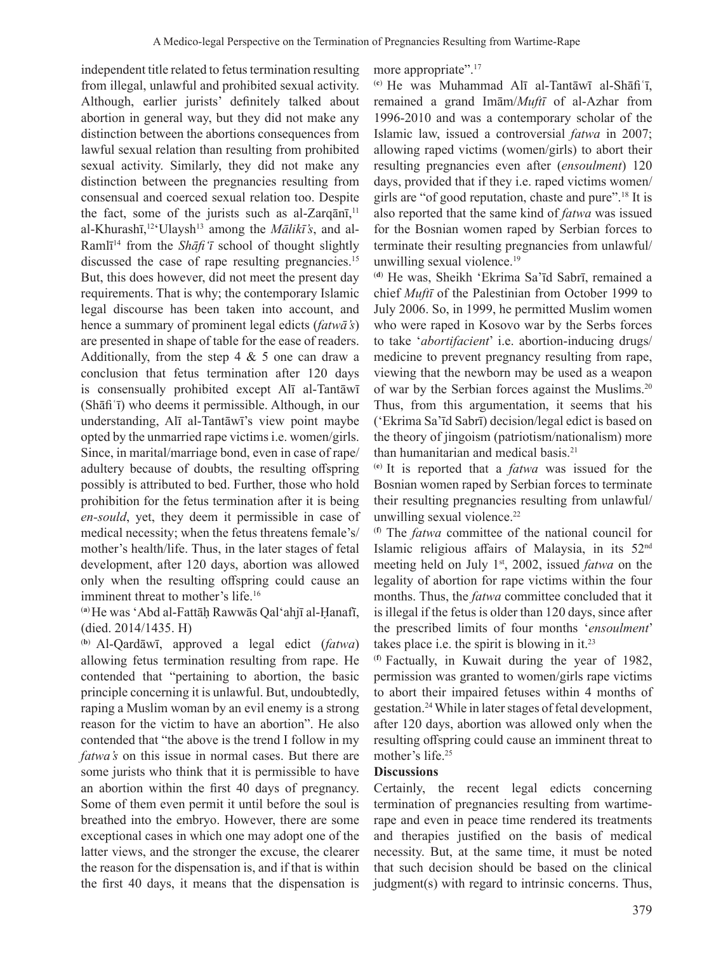independent title related to fetus termination resulting from illegal, unlawful and prohibited sexual activity. Although, earlier jurists' definitely talked about abortion in general way, but they did not make any distinction between the abortions consequences from lawful sexual relation than resulting from prohibited sexual activity. Similarly, they did not make any distinction between the pregnancies resulting from consensual and coerced sexual relation too. Despite the fact, some of the jurists such as al-Zarqānī,<sup>11</sup> al-Khurashī, 12'Ulaysh13 among the *Mālikī's*, and al-Ramlī 14 from the *Shāfiʻī* school of thought slightly discussed the case of rape resulting pregnancies.<sup>15</sup> But, this does however, did not meet the present day requirements. That is why; the contemporary Islamic legal discourse has been taken into account, and hence a summary of prominent legal edicts (*fatwā's*) are presented in shape of table for the ease of readers. Additionally, from the step  $4 \& 5$  one can draw a conclusion that fetus termination after 120 days is consensually prohibited except Alī al-Tantāwī (Shāfiʿī) who deems it permissible. Although, in our understanding, Alī al-Tantāwī's view point maybe opted by the unmarried rape victims i.e. women/girls. Since, in marital/marriage bond, even in case of rape/ adultery because of doubts, the resulting offspring possibly is attributed to bed. Further, those who hold prohibition for the fetus termination after it is being *en-sould*, yet, they deem it permissible in case of medical necessity; when the fetus threatens female's/ mother's health/life. Thus, in the later stages of fetal development, after 120 days, abortion was allowed only when the resulting offspring could cause an imminent threat to mother's life.<sup>16</sup>

(**a**) He was 'Abd al-Fattāḥ Rawwās Qal'ahjī al-Ḥanafī, (died. 2014/1435. H)

(**b**) Al-Qardāwī, approved a legal edict (*fatwa*) allowing fetus termination resulting from rape. He contended that "pertaining to abortion, the basic principle concerning it is unlawful. But, undoubtedly, raping a Muslim woman by an evil enemy is a strong reason for the victim to have an abortion". He also contended that "the above is the trend I follow in my *fatwa's* on this issue in normal cases. But there are some jurists who think that it is permissible to have an abortion within the first 40 days of pregnancy. Some of them even permit it until before the soul is breathed into the embryo. However, there are some exceptional cases in which one may adopt one of the latter views, and the stronger the excuse, the clearer the reason for the dispensation is, and if that is within the first 40 days, it means that the dispensation is more appropriate".<sup>17</sup>

(**c**) He was Muhammad Alī al-Tantāwī al-Shāfiʿī, remained a grand Imām/*Muftī* of al-Azhar from 1996-2010 and was a contemporary scholar of the Islamic law, issued a controversial *fatwa* in 2007; allowing raped victims (women/girls) to abort their resulting pregnancies even after (*ensoulment*) 120 days, provided that if they i.e. raped victims women/ girls are "of good reputation, chaste and pure".18 It is also reported that the same kind of *fatwa* was issued for the Bosnian women raped by Serbian forces to terminate their resulting pregnancies from unlawful/ unwilling sexual violence.<sup>19</sup>

(**d**) He was, Sheikh 'Ekrima Sa'īd Sabrī, remained a chief *Muftī* of the Palestinian from October 1999 to July 2006. So, in 1999, he permitted Muslim women who were raped in Kosovo war by the Serbs forces to take '*abortifacient*' i.e. abortion-inducing drugs/ medicine to prevent pregnancy resulting from rape, viewing that the newborn may be used as a weapon of war by the Serbian forces against the Muslims.<sup>20</sup> Thus, from this argumentation, it seems that his ('Ekrima Sa'īd Sabrī) decision/legal edict is based on the theory of jingoism (patriotism/nationalism) more than humanitarian and medical basis.<sup>21</sup>

(**e**) It is reported that a *fatwa* was issued for the Bosnian women raped by Serbian forces to terminate their resulting pregnancies resulting from unlawful/ unwilling sexual violence.<sup>22</sup>

(**f**) The *fatwa* committee of the national council for Islamic religious affairs of Malaysia, in its 52nd meeting held on July 1<sup>st</sup>, 2002, issued *fatwa* on the legality of abortion for rape victims within the four months. Thus, the *fatwa* committee concluded that it is illegal if the fetus is older than 120 days, since after the prescribed limits of four months '*ensoulment*' takes place i.e. the spirit is blowing in it. $^{23}$ 

(**f**) Factually, in Kuwait during the year of 1982, permission was granted to women/girls rape victims to abort their impaired fetuses within 4 months of gestation.<sup>24</sup> While in later stages of fetal development, after 120 days, abortion was allowed only when the resulting offspring could cause an imminent threat to mother's life.25

### **Discussions**

Certainly, the recent legal edicts concerning termination of pregnancies resulting from wartimerape and even in peace time rendered its treatments and therapies justified on the basis of medical necessity. But, at the same time, it must be noted that such decision should be based on the clinical judgment(s) with regard to intrinsic concerns. Thus,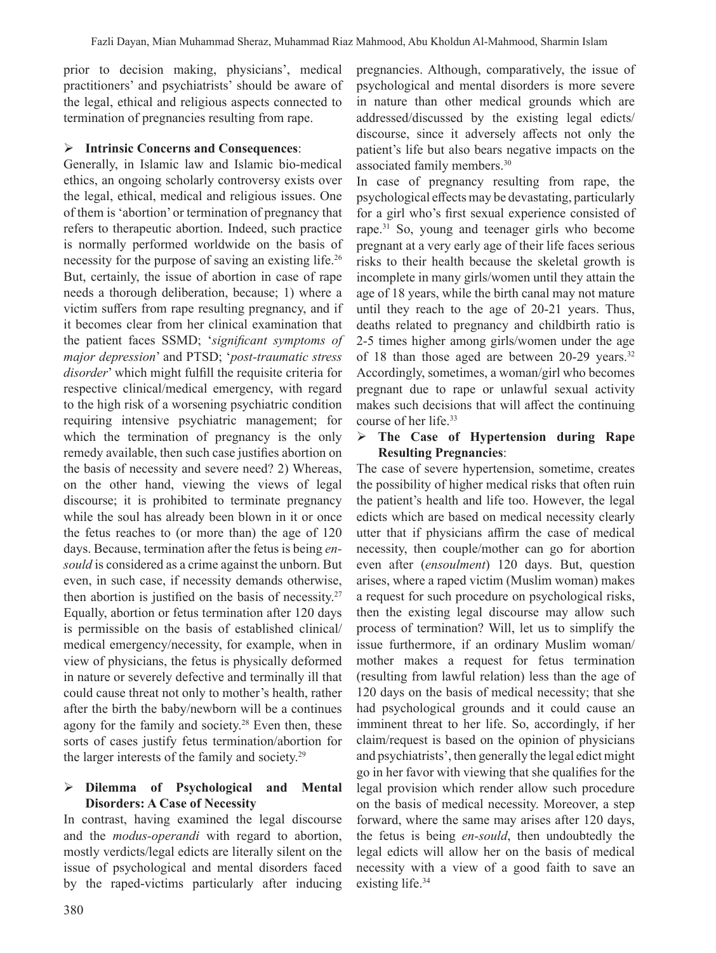prior to decision making, physicians', medical practitioners' and psychiatrists' should be aware of the legal, ethical and religious aspects connected to termination of pregnancies resulting from rape.

### **Intrinsic Concerns and Consequences**:

Generally, in Islamic law and Islamic bio-medical ethics, an ongoing scholarly controversy exists over the legal, ethical, medical and religious issues. One of them is 'abortion' or termination of pregnancy that refers to therapeutic abortion. Indeed, such practice is normally performed worldwide on the basis of necessity for the purpose of saving an existing life.<sup>26</sup> But, certainly, the issue of abortion in case of rape needs a thorough deliberation, because; 1) where a victim suffers from rape resulting pregnancy, and if it becomes clear from her clinical examination that the patient faces SSMD; '*significant symptoms of major depression*' and PTSD; '*post-traumatic stress disorder*' which might fulfill the requisite criteria for respective clinical/medical emergency, with regard to the high risk of a worsening psychiatric condition requiring intensive psychiatric management; for which the termination of pregnancy is the only remedy available, then such case justifies abortion on the basis of necessity and severe need? 2) Whereas, on the other hand, viewing the views of legal discourse; it is prohibited to terminate pregnancy while the soul has already been blown in it or once the fetus reaches to (or more than) the age of 120 days. Because, termination after the fetus is being *ensould* is considered as a crime against the unborn. But even, in such case, if necessity demands otherwise, then abortion is justified on the basis of necessity.<sup>27</sup> Equally, abortion or fetus termination after 120 days is permissible on the basis of established clinical/ medical emergency/necessity, for example, when in view of physicians, the fetus is physically deformed in nature or severely defective and terminally ill that could cause threat not only to mother's health, rather after the birth the baby/newborn will be a continues agony for the family and society.<sup>28</sup> Even then, these sorts of cases justify fetus termination/abortion for the larger interests of the family and society.29

### **Dilemma of Psychological and Mental Disorders: A Case of Necessity**

In contrast, having examined the legal discourse and the *modus-operandi* with regard to abortion, mostly verdicts/legal edicts are literally silent on the issue of psychological and mental disorders faced by the raped-victims particularly after inducing

pregnancies. Although, comparatively, the issue of psychological and mental disorders is more severe in nature than other medical grounds which are addressed/discussed by the existing legal edicts/ discourse, since it adversely affects not only the patient's life but also bears negative impacts on the associated family members.30

In case of pregnancy resulting from rape, the psychological effects may be devastating, particularly for a girl who's first sexual experience consisted of rape.<sup>31</sup> So, young and teenager girls who become pregnant at a very early age of their life faces serious risks to their health because the skeletal growth is incomplete in many girls/women until they attain the age of 18 years, while the birth canal may not mature until they reach to the age of 20-21 years. Thus, deaths related to pregnancy and childbirth ratio is 2-5 times higher among girls/women under the age of 18 than those aged are between 20-29 years.<sup>32</sup> Accordingly, sometimes, a woman/girl who becomes pregnant due to rape or unlawful sexual activity makes such decisions that will affect the continuing course of her life.33

### **The Case of Hypertension during Rape Resulting Pregnancies**:

The case of severe hypertension, sometime, creates the possibility of higher medical risks that often ruin the patient's health and life too. However, the legal edicts which are based on medical necessity clearly utter that if physicians affirm the case of medical necessity, then couple/mother can go for abortion even after (*ensoulment*) 120 days. But, question arises, where a raped victim (Muslim woman) makes a request for such procedure on psychological risks, then the existing legal discourse may allow such process of termination? Will, let us to simplify the issue furthermore, if an ordinary Muslim woman/ mother makes a request for fetus termination (resulting from lawful relation) less than the age of 120 days on the basis of medical necessity; that she had psychological grounds and it could cause an imminent threat to her life. So, accordingly, if her claim/request is based on the opinion of physicians and psychiatrists', then generally the legal edict might go in her favor with viewing that she qualifies for the legal provision which render allow such procedure on the basis of medical necessity. Moreover, a step forward, where the same may arises after 120 days, the fetus is being *en-sould*, then undoubtedly the legal edicts will allow her on the basis of medical necessity with a view of a good faith to save an existing life.<sup>34</sup>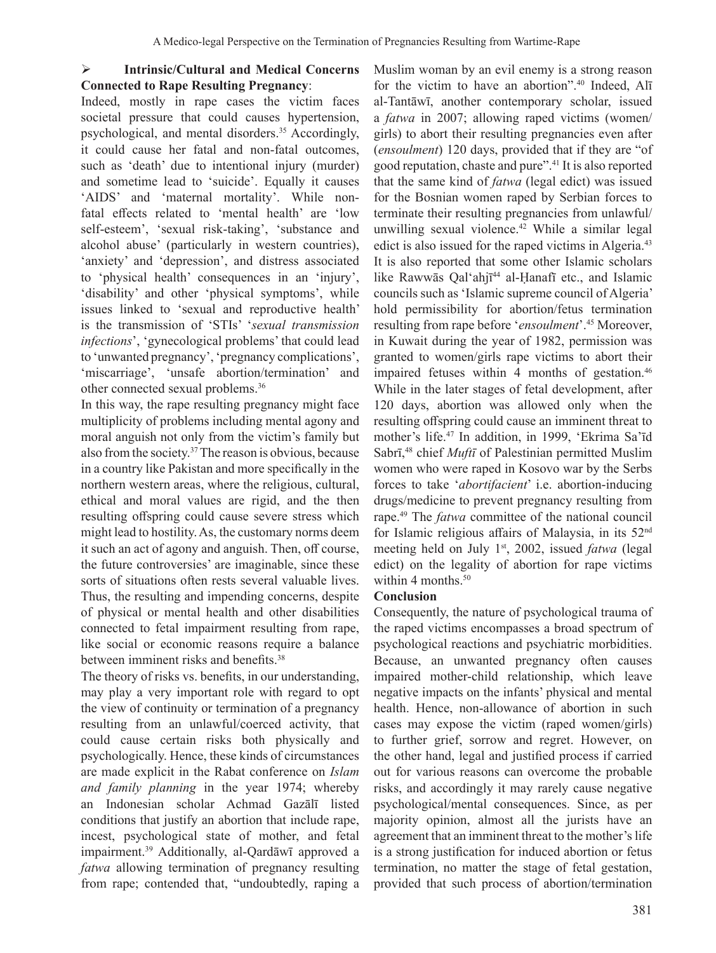# **Intrinsic/Cultural and Medical Concerns Connected to Rape Resulting Pregnancy**:

Indeed, mostly in rape cases the victim faces societal pressure that could causes hypertension, psychological, and mental disorders.<sup>35</sup> Accordingly, it could cause her fatal and non-fatal outcomes, such as 'death' due to intentional injury (murder) and sometime lead to 'suicide'. Equally it causes 'AIDS' and 'maternal mortality'. While nonfatal effects related to 'mental health' are 'low self-esteem', 'sexual risk-taking', 'substance and alcohol abuse' (particularly in western countries), 'anxiety' and 'depression', and distress associated to 'physical health' consequences in an 'injury', 'disability' and other 'physical symptoms', while issues linked to 'sexual and reproductive health' is the transmission of 'STIs' '*sexual transmission infections*', 'gynecological problems' that could lead to 'unwanted pregnancy','pregnancy complications', 'miscarriage', 'unsafe abortion/termination' and other connected sexual problems.36

In this way, the rape resulting pregnancy might face multiplicity of problems including mental agony and moral anguish not only from the victim's family but also from the society.<sup>37</sup> The reason is obvious, because in a country like Pakistan and more specifically in the northern western areas, where the religious, cultural, ethical and moral values are rigid, and the then resulting offspring could cause severe stress which might lead to hostility. As, the customary norms deem it such an act of agony and anguish. Then, off course, the future controversies' are imaginable, since these sorts of situations often rests several valuable lives. Thus, the resulting and impending concerns, despite of physical or mental health and other disabilities connected to fetal impairment resulting from rape, like social or economic reasons require a balance between imminent risks and benefits.38

The theory of risks vs. benefits, in our understanding, may play a very important role with regard to opt the view of continuity or termination of a pregnancy resulting from an unlawful/coerced activity, that could cause certain risks both physically and psychologically. Hence, these kinds of circumstances are made explicit in the Rabat conference on *Islam and family planning* in the year 1974; whereby an Indonesian scholar Achmad Gazālī listed conditions that justify an abortion that include rape, incest, psychological state of mother, and fetal impairment.<sup>39</sup> Additionally, al-Qardāwī approved a *fatwa* allowing termination of pregnancy resulting from rape; contended that, "undoubtedly, raping a

Muslim woman by an evil enemy is a strong reason for the victim to have an abortion".<sup>40</sup> Indeed, Alī al-Tantāwī, another contemporary scholar, issued a *fatwa* in 2007; allowing raped victims (women/ girls) to abort their resulting pregnancies even after (*ensoulment*) 120 days, provided that if they are "of good reputation, chaste and pure".<sup>41</sup> It is also reported that the same kind of *fatwa* (legal edict) was issued for the Bosnian women raped by Serbian forces to terminate their resulting pregnancies from unlawful/ unwilling sexual violence.<sup>42</sup> While a similar legal edict is also issued for the raped victims in Algeria.<sup>43</sup> It is also reported that some other Islamic scholars like Rawwās Qal'ahjī <sup>44</sup> al-Ḥanafī etc., and Islamic councils such as 'Islamic supreme council of Algeria' hold permissibility for abortion/fetus termination resulting from rape before '*ensoulment*'.45 Moreover, in Kuwait during the year of 1982, permission was granted to women/girls rape victims to abort their impaired fetuses within 4 months of gestation.<sup>46</sup> While in the later stages of fetal development, after 120 days, abortion was allowed only when the resulting offspring could cause an imminent threat to mother's life.<sup>47</sup> In addition, in 1999, 'Ekrima Sa'īd Sabrī, <sup>48</sup> chief *Muftī* of Palestinian permitted Muslim women who were raped in Kosovo war by the Serbs forces to take '*abortifacient*' i.e. abortion-inducing drugs/medicine to prevent pregnancy resulting from rape.<sup>49</sup> The *fatwa* committee of the national council for Islamic religious affairs of Malaysia, in its 52nd meeting held on July 1<sup>st</sup>, 2002, issued *fatwa* (legal edict) on the legality of abortion for rape victims within 4 months. $50$ 

### **Conclusion**

Consequently, the nature of psychological trauma of the raped victims encompasses a broad spectrum of psychological reactions and psychiatric morbidities. Because, an unwanted pregnancy often causes impaired mother-child relationship, which leave negative impacts on the infants' physical and mental health. Hence, non-allowance of abortion in such cases may expose the victim (raped women/girls) to further grief, sorrow and regret. However, on the other hand, legal and justified process if carried out for various reasons can overcome the probable risks, and accordingly it may rarely cause negative psychological/mental consequences. Since, as per majority opinion, almost all the jurists have an agreement that an imminent threat to the mother's life is a strong justification for induced abortion or fetus termination, no matter the stage of fetal gestation, provided that such process of abortion/termination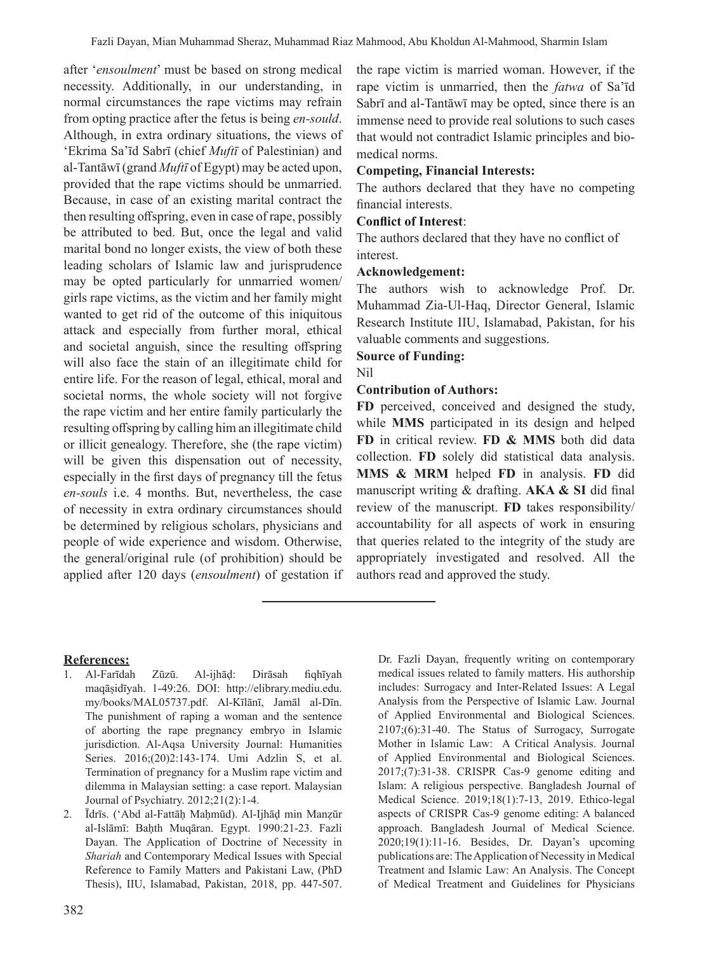after '*ensoulment*' must be based on strong medical necessity. Additionally, in our understanding, in normal circumstances the rape victims may refrain from opting practice after the fetus is being *en-sould*. Although, in extra ordinary situations, the views of 'Ekrima Sa'īd Sabrī (chief *Muftī* of Palestinian) and al-Tantāwī (grand *Muftī* of Egypt) may be acted upon, provided that the rape victims should be unmarried. Because, in case of an existing marital contract the then resulting offspring, even in case of rape, possibly be attributed to bed. But, once the legal and valid marital bond no longer exists, the view of both these leading scholars of Islamic law and jurisprudence may be opted particularly for unmarried women/ girls rape victims, as the victim and her family might wanted to get rid of the outcome of this iniquitous attack and especially from further moral, ethical and societal anguish, since the resulting offspring will also face the stain of an illegitimate child for entire life. For the reason of legal, ethical, moral and societal norms, the whole society will not forgive the rape victim and her entire family particularly the resulting offspring by calling him an illegitimate child or illicit genealogy. Therefore, she (the rape victim) will be given this dispensation out of necessity, especially in the first days of pregnancy till the fetus *en-souls* i.e. 4 months. But, nevertheless, the case of necessity in extra ordinary circumstances should be determined by religious scholars, physicians and people of wide experience and wisdom. Otherwise, the general/original rule (of prohibition) should be applied after 120 days (*ensoulment*) of gestation if

the rape victim is married woman. However, if the rape victim is unmarried, then the *fatwa* of Sa'īd Sabrī and al-Tantāwī may be opted, since there is an immense need to provide real solutions to such cases that would not contradict Islamic principles and biomedical norms.

#### **Competing, Financial Interests:**

The authors declared that they have no competing financial interests.

### **Conflict of Interest**:

The authors declared that they have no conflict of interest.

#### **Acknowledgement:**

The authors wish to acknowledge Prof. Dr. Muhammad Zia-Ul-Haq, Director General, Islamic Research Institute IIU, Islamabad, Pakistan, for his valuable comments and suggestions.

**Source of Funding:**

Nil

# **Contribution of Authors:**

**FD** perceived, conceived and designed the study, while **MMS** participated in its design and helped **FD** in critical review. **FD & MMS** both did data collection. **FD** solely did statistical data analysis. **MMS & MRM** helped **FD** in analysis. **FD** did manuscript writing & drafting. **AKA & SI** did final review of the manuscript. **FD** takes responsibility/ accountability for all aspects of work in ensuring that queries related to the integrity of the study are appropriately investigated and resolved. All the authors read and approved the study.

### **References:**

- 1. Al-Farīdah Zūzū. Al-ijhāḍ: Dirāsah fiqhīyah maqāṣidīyah. 1-49:26. DOI: http://elibrary.mediu.edu. my/books/MAL05737.pdf. Al-Kīlānī, Jamāl al-Dīn. The punishment of raping a woman and the sentence of aborting the rape pregnancy embryo in Islamic jurisdiction. Al-Aqsa University Journal: Humanities Series. 2016;(20)2:143-174. Umi Adzlin S, et al. Termination of pregnancy for a Muslim rape victim and dilemma in Malaysian setting: a case report. Malaysian Journal of Psychiatry. 2012;21(2):1-4.
- 2. Īdrīs. ('Abd al-Fattāḥ Maḥmūd). Al-Ijhāḍ min Manẓūr al-Islāmī: Baḥth Muqāran. Egypt. 1990:21-23. Fazli Dayan. The Application of Doctrine of Necessity in *Shariah* and Contemporary Medical Issues with Special Reference to Family Matters and Pakistani Law, (PhD Thesis), IIU, Islamabad, Pakistan, 2018, pp. 447-507.

Dr. Fazli Dayan, frequently writing on contemporary medical issues related to family matters. His authorship includes: Surrogacy and Inter-Related Issues: A Legal Analysis from the Perspective of Islamic Law. Journal of Applied Environmental and Biological Sciences. 2107;(6):31-40. The Status of Surrogacy, Surrogate Mother in Islamic Law: A Critical Analysis. Journal of Applied Environmental and Biological Sciences. 2017;(7):31-38. CRISPR Cas-9 genome editing and Islam: A religious perspective. Bangladesh Journal of Medical Science. 2019;18(1):7-13, 2019. Ethico-legal aspects of CRISPR Cas-9 genome editing: A balanced approach. Bangladesh Journal of Medical Science. 2020;19(1):11-16. Besides, Dr. Dayan's upcoming publications are:TheApplication of Necessity in Medical Treatment and Islamic Law: An Analysis. The Concept of Medical Treatment and Guidelines for Physicians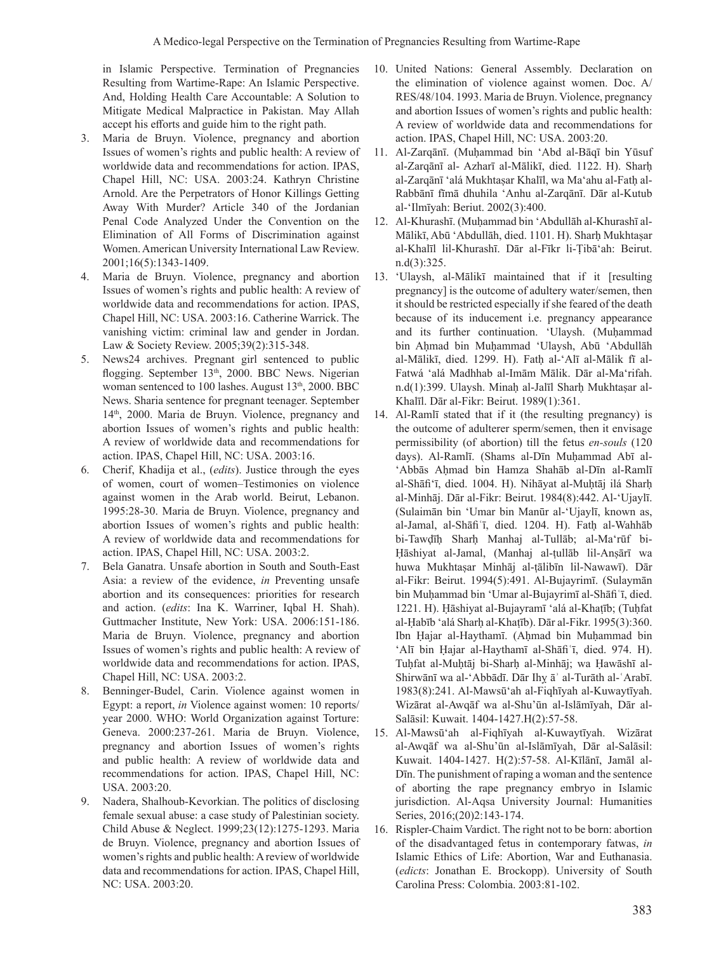in Islamic Perspective. Termination of Pregnancies Resulting from Wartime-Rape: An Islamic Perspective. And, Holding Health Care Accountable: A Solution to Mitigate Medical Malpractice in Pakistan. May Allah accept his efforts and guide him to the right path.

- 3. Maria de Bruyn. Violence, pregnancy and abortion Issues of women's rights and public health: A review of worldwide data and recommendations for action. IPAS, Chapel Hill, NC: USA. 2003:24. Kathryn Christine Arnold. Are the Perpetrators of Honor Killings Getting Away With Murder? Article 340 of the Jordanian Penal Code Analyzed Under the Convention on the Elimination of All Forms of Discrimination against Women.American University International Law Review. 2001;16(5):1343-1409.
- Maria de Bruyn. Violence, pregnancy and abortion Issues of women's rights and public health: A review of worldwide data and recommendations for action. IPAS, Chapel Hill, NC: USA. 2003:16. Catherine Warrick. The vanishing victim: criminal law and gender in Jordan. Law & Society Review. 2005;39(2):315-348.
- 5. News24 archives. Pregnant girl sentenced to public flogging. September 13<sup>th</sup>, 2000. BBC News. Nigerian woman sentenced to 100 lashes. August  $13<sup>th</sup>$ , 2000. BBC News. Sharia sentence for pregnant teenager. September 14th, 2000. Maria de Bruyn. Violence, pregnancy and abortion Issues of women's rights and public health: A review of worldwide data and recommendations for action. IPAS, Chapel Hill, NC: USA. 2003:16.
- 6. Cherif, Khadija et al., (*edits*). Justice through the eyes of women, court of women–Testimonies on violence against women in the Arab world. Beirut, Lebanon. 1995:28-30. Maria de Bruyn. Violence, pregnancy and abortion Issues of women's rights and public health: A review of worldwide data and recommendations for action. IPAS, Chapel Hill, NC: USA. 2003:2.
- 7. Bela Ganatra. Unsafe abortion in South and South-East Asia: a review of the evidence, *in* Preventing unsafe abortion and its consequences: priorities for research and action. (*edits*: Ina K. Warriner, Iqbal H. Shah). Guttmacher Institute, New York: USA. 2006:151-186. Maria de Bruyn. Violence, pregnancy and abortion Issues of women's rights and public health: A review of worldwide data and recommendations for action. IPAS, Chapel Hill, NC: USA. 2003:2.
- 8. Benninger-Budel, Carin. Violence against women in Egypt: a report, *in* Violence against women: 10 reports/ year 2000. WHO: World Organization against Torture: Geneva. 2000:237-261. Maria de Bruyn. Violence, pregnancy and abortion Issues of women's rights and public health: A review of worldwide data and recommendations for action. IPAS, Chapel Hill, NC: USA. 2003:20.
- 9. Nadera, Shalhoub-Kevorkian. The politics of disclosing female sexual abuse: a case study of Palestinian society. Child Abuse & Neglect. 1999;23(12):1275-1293. Maria de Bruyn. Violence, pregnancy and abortion Issues of women's rights and public health: A review of worldwide data and recommendations for action. IPAS, Chapel Hill, NC: USA. 2003:20.
- 10. United Nations: General Assembly. Declaration on the elimination of violence against women. Doc. A/ RES/48/104. 1993. Maria de Bruyn. Violence, pregnancy and abortion Issues of women's rights and public health: A review of worldwide data and recommendations for action. IPAS, Chapel Hill, NC: USA. 2003:20.
- 11. Al-Zarqānī. (Muḥammad bin 'Abd al-Bāqī bin Yūsuf al-Zarqānī al- Azharī al-Mālikī, died. 1122. H). Sharḥ al-Zarqānī 'alá Mukhtaṣar Khalīl, wa Ma'ahu al-Fatḥ al-Rabbānī fīmā dhuhila 'Anhu al-Zarqānī. Dār al-Kutub al-'Ilmīyah: Beriut. 2002(3):400.
- 12. Al-Khurashī. (Muḥammad bin 'Abdullāh al-Khurashī al-Mālikī, Abū 'Abdullāh, died. 1101. H). Sharh Mukhtasar al-Khalīl lil-Khurashī. Dār al-Fīkr li-Ṭibā'ah: Beirut. n.d(3):325.
- 13. 'Ulaysh, al-Mālikī maintained that if it [resulting pregnancy] is the outcome of adultery water/semen, then it should be restricted especially if she feared of the death because of its inducement i.e. pregnancy appearance and its further continuation. 'Ulaysh. (Muḥammad bin Aḥmad bin Muḥammad 'Ulaysh, Abū 'Abdullāh al-Mālikī, died. 1299. H). Fatḥ al-'Alī al-Mālik fī al-Fatwá 'alá Madhhab al-Imām Mālik. Dār al-Ma'rifah. n.d(1):399. Ulaysh. Minaḥ al-Jalīl Sharḥ Mukhtaṣar al-Khalīl. Dār al-Fikr: Beirut. 1989(1):361.
- 14. Al-Ramlī stated that if it (the resulting pregnancy) is the outcome of adulterer sperm/semen, then it envisage permissibility (of abortion) till the fetus *en-souls* (120 days). Al-Ramlī. (Shams al-Dīn Muḥammad Abī al- 'Abbās Aḥmad bin Hamza Shahāb al-Dīn al-Ramlī al-Shāfiʻī, died. 1004. H). Nihāyat al-Muḥtāj ilá Sharḥ al-Minhāj. Dār al-Fikr: Beirut. 1984(8):442. Al-'Ujaylī. (Sulaimān bin 'Umar bin Manūr al-'Ujaylī, known as, al-Jamal, al-Shāfiʿī, died. 1204. H). Fatḥ al-Wahhāb bi-Tawḍīḥ Sharḥ Manhaj al-Tullāb; al-Ma'rūf bi-Ḥāshiyat al-Jamal, (Manhaj al-ṭullāb lil-Anṣārī wa huwa Mukhtaṣar Minhāj al-ṭālibīn lil-Nawawī). Dār al-Fikr: Beirut. 1994(5):491. Al-Bujayrimī. (Sulaymān bin Muḥammad bin 'Umar al-Bujayrimī al-Shāfiʿī, died. 1221. H). Ḥāshiyat al-Bujayramī 'alá al-Khaṭīb; (Tuḥfat al-Ḥabīb 'alá Sharḥ al-Khaṭīb). Dār al-Fikr. 1995(3):360. Ibn Ḥajar al-Haythamī. (Aḥmad bin Muḥammad bin 'Alī bin Ḥajar al-Haythamī al-Shāfiʿī, died. 974. H). Tuhfat al-Muhtāj bi-Sharh al-Minhāj; wa Hawāshī al-Shirwānī wa al-'Abbādī. Dār Ihỵ āʾ al-Turāth al-ʿArabī. 1983(8):241. Al-Mawsū'ah al-Fiqhīyah al-Kuwaytīyah. Wizārat al-Awqāf wa al-Shu'ūn al-Islāmīyah, Dār al-Salāsil: Kuwait. 1404-1427.H(2):57-58.
- 15. Al-Mawsū'ah al-Fiqhīyah al-Kuwaytīyah. Wizārat al-Awqāf wa al-Shu'ūn al-Islāmīyah, Dār al-Salāsil: Kuwait. 1404-1427. H(2):57-58. Al-Kīlānī, Jamāl al-Dīn. The punishment of raping a woman and the sentence of aborting the rape pregnancy embryo in Islamic jurisdiction. Al-Aqsa University Journal: Humanities Series, 2016;(20)2:143-174.
- 16. Rispler-Chaim Vardict. The right not to be born: abortion of the disadvantaged fetus in contemporary fatwas, *in* Islamic Ethics of Life: Abortion, War and Euthanasia. (*edicts*: Jonathan E. Brockopp). University of South Carolina Press: Colombia. 2003:81-102.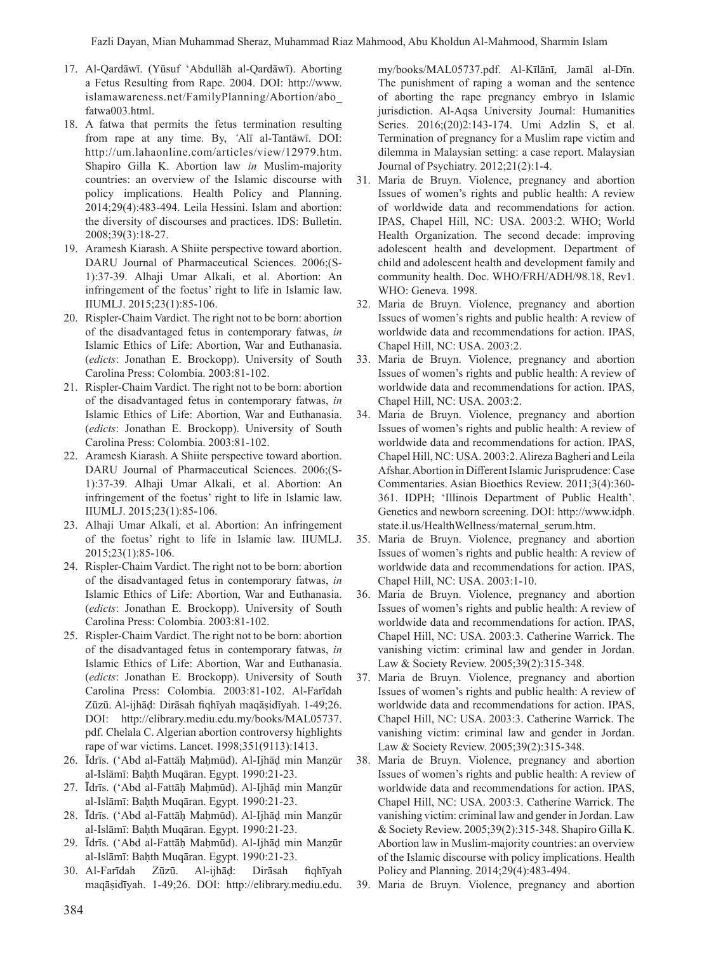- 17. Al-Qardāwī. (Yūsuf 'Abdullāh al-Qardāwī). Aborting a Fetus Resulting from Rape. 2004. DOI: http://www. islamawareness.net/FamilyPlanning/Abortion/abo\_ fatwa003.html.
- 18. A fatwa that permits the fetus termination resulting from rape at any time. By, *'*Alī al-Tantāwī. DOI: http://um.lahaonline.com/articles/view/12979.htm. Shapiro Gilla K. Abortion law *in* Muslim-majority countries: an overview of the Islamic discourse with policy implications. Health Policy and Planning. 2014;29(4):483-494. Leila Hessini. Islam and abortion: the diversity of discourses and practices. IDS: Bulletin. 2008;39(3):18-27.
- 19. Aramesh Kiarash. A Shiite perspective toward abortion. DARU Journal of Pharmaceutical Sciences. 2006;(S-1):37-39. Alhaji Umar Alkali, et al. Abortion: An infringement of the foetus' right to life in Islamic law. IIUMLJ. 2015;23(1):85-106.
- 20. Rispler-Chaim Vardict. The right not to be born: abortion of the disadvantaged fetus in contemporary fatwas, *in* Islamic Ethics of Life: Abortion, War and Euthanasia. (*edicts*: Jonathan E. Brockopp). University of South Carolina Press: Colombia. 2003:81-102.
- 21. Rispler-Chaim Vardict. The right not to be born: abortion of the disadvantaged fetus in contemporary fatwas, *in* Islamic Ethics of Life: Abortion, War and Euthanasia. (*edicts*: Jonathan E. Brockopp). University of South Carolina Press: Colombia. 2003:81-102.
- 22. Aramesh Kiarash. A Shiite perspective toward abortion. DARU Journal of Pharmaceutical Sciences. 2006;(S-1):37-39. Alhaji Umar Alkali, et al. Abortion: An infringement of the foetus' right to life in Islamic law. IIUMLJ. 2015;23(1):85-106.
- 23. Alhaji Umar Alkali, et al. Abortion: An infringement of the foetus' right to life in Islamic law. IIUMLJ. 2015;23(1):85-106.
- 24. Rispler-Chaim Vardict. The right not to be born: abortion of the disadvantaged fetus in contemporary fatwas, *in* Islamic Ethics of Life: Abortion, War and Euthanasia. (*edicts*: Jonathan E. Brockopp). University of South Carolina Press: Colombia. 2003:81-102.
- 25. Rispler-Chaim Vardict. The right not to be born: abortion of the disadvantaged fetus in contemporary fatwas, *in* Islamic Ethics of Life: Abortion, War and Euthanasia. (*edicts*: Jonathan E. Brockopp). University of South Carolina Press: Colombia. 2003:81-102. Al-Farīdah Zūzū. Al-ijhāḍ: Dirāsah fiqhīyah maqāṣidīyah. 1-49;26. DOI: http://elibrary.mediu.edu.my/books/MAL05737. pdf. Chelala C. Algerian abortion controversy highlights rape of war victims. Lancet. 1998;351(9113):1413.
- 26. Īdrīs. ('Abd al-Fattāḥ Maḥmūd). Al-Ijhāḍ min Manẓūr al-Islāmī: Baḥth Muqāran. Egypt. 1990:21-23.
- 27. Īdrīs. ('Abd al-Fattāḥ Maḥmūd). Al-Ijhāḍ min Manẓūr al-Islāmī: Baḥth Muqāran. Egypt. 1990:21-23.
- 28. Īdrīs. ('Abd al-Fattāḥ Maḥmūd). Al-Ijhāḍ min Manẓūr al-Islāmī: Baḥth Muqāran. Egypt. 1990:21-23.
- 29. Īdrīs. ('Abd al-Fattāḥ Maḥmūd). Al-Ijhāḍ min Manẓūr al-Islāmī: Baḥth Muqāran. Egypt. 1990:21-23.
- 30. Al-Farīdah Zūzū. Al-ijhāḍ: Dirāsah fiqhīyah maqāṣidīyah. 1-49;26. DOI: http://elibrary.mediu.edu.

my/books/MAL05737.pdf. Al-Kīlānī, Jamāl al-Dīn. The punishment of raping a woman and the sentence of aborting the rape pregnancy embryo in Islamic jurisdiction. Al-Aqsa University Journal: Humanities Series. 2016;(20)2:143-174. Umi Adzlin S, et al. Termination of pregnancy for a Muslim rape victim and dilemma in Malaysian setting: a case report. Malaysian Journal of Psychiatry. 2012;21(2):1-4.

- 31. Maria de Bruyn. Violence, pregnancy and abortion Issues of women's rights and public health: A review of worldwide data and recommendations for action. IPAS, Chapel Hill, NC: USA. 2003:2. WHO; World Health Organization. The second decade: improving adolescent health and development. Department of child and adolescent health and development family and community health. Doc. WHO/FRH/ADH/98.18, Rev1. WHO: Geneva. 1998.
- 32. Maria de Bruyn. Violence, pregnancy and abortion Issues of women's rights and public health: A review of worldwide data and recommendations for action. IPAS, Chapel Hill, NC: USA. 2003:2.
- 33. Maria de Bruyn. Violence, pregnancy and abortion Issues of women's rights and public health: A review of worldwide data and recommendations for action. IPAS, Chapel Hill, NC: USA. 2003:2.
- 34. Maria de Bruyn. Violence, pregnancy and abortion Issues of women's rights and public health: A review of worldwide data and recommendations for action. IPAS, Chapel Hill, NC: USA. 2003:2.Alireza Bagheri and Leila Afshar. Abortion in Different Islamic Jurisprudence: Case Commentaries. Asian Bioethics Review. 2011;3(4):360- 361. IDPH; 'Illinois Department of Public Health'. Genetics and newborn screening. DOI: http://www.idph. state.il.us/HealthWellness/maternal\_serum.htm.
- 35. Maria de Bruyn. Violence, pregnancy and abortion Issues of women's rights and public health: A review of worldwide data and recommendations for action. IPAS, Chapel Hill, NC: USA. 2003:1-10.
- 36. Maria de Bruyn. Violence, pregnancy and abortion Issues of women's rights and public health: A review of worldwide data and recommendations for action. IPAS, Chapel Hill, NC: USA. 2003:3. Catherine Warrick. The vanishing victim: criminal law and gender in Jordan. Law & Society Review. 2005;39(2):315-348.
- 37. Maria de Bruyn. Violence, pregnancy and abortion Issues of women's rights and public health: A review of worldwide data and recommendations for action. IPAS, Chapel Hill, NC: USA. 2003:3. Catherine Warrick. The vanishing victim: criminal law and gender in Jordan. Law & Society Review. 2005;39(2):315-348.
- 38. Maria de Bruyn. Violence, pregnancy and abortion Issues of women's rights and public health: A review of worldwide data and recommendations for action. IPAS, Chapel Hill, NC: USA. 2003:3. Catherine Warrick. The vanishing victim: criminal law and gender in Jordan. Law & Society Review. 2005;39(2):315-348. Shapiro Gilla K. Abortion law in Muslim-majority countries: an overview of the Islamic discourse with policy implications. Health Policy and Planning. 2014;29(4):483-494.
- 39. Maria de Bruyn. Violence, pregnancy and abortion